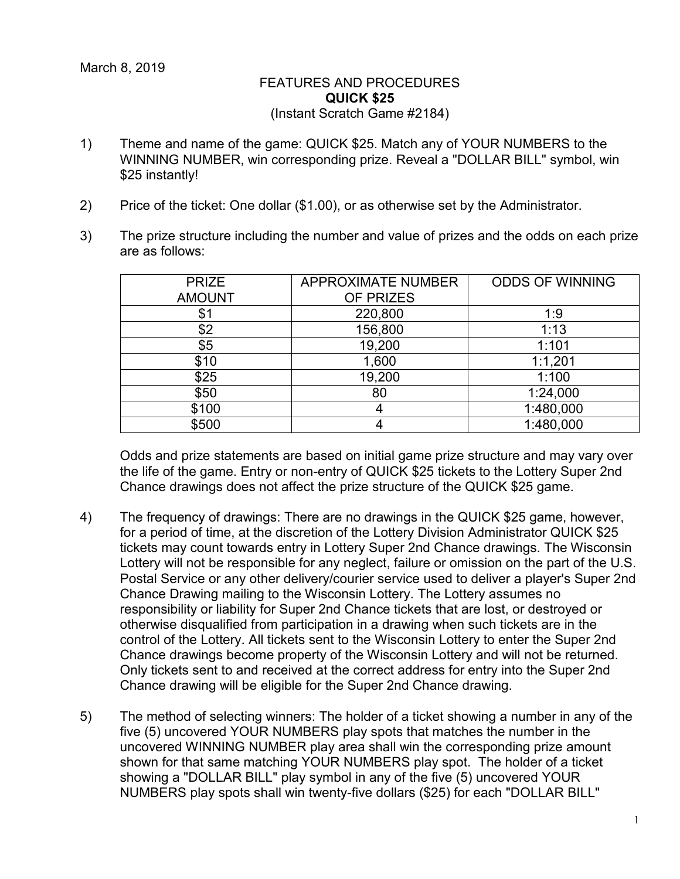## FEATURES AND PROCEDURES **QUICK \$25** (Instant Scratch Game #2184)

- 1) Theme and name of the game: QUICK \$25. Match any of YOUR NUMBERS to the WINNING NUMBER, win corresponding prize. Reveal a "DOLLAR BILL" symbol, win \$25 instantly!
- 2) Price of the ticket: One dollar (\$1.00), or as otherwise set by the Administrator.
- 3) The prize structure including the number and value of prizes and the odds on each prize are as follows:

| <b>PRIZE</b>  | <b>APPROXIMATE NUMBER</b> | <b>ODDS OF WINNING</b> |
|---------------|---------------------------|------------------------|
| <b>AMOUNT</b> | OF PRIZES                 |                        |
| \$1           | 220,800                   | 1:9                    |
| \$2           | 156,800                   | 1:13                   |
| \$5           | 19,200                    | 1:101                  |
| \$10          | 1,600                     | 1:1,201                |
| \$25          | 19,200                    | 1:100                  |
| \$50          | 80                        | 1:24,000               |
| \$100         |                           | 1:480,000              |
| \$500         |                           | 1:480,000              |

Odds and prize statements are based on initial game prize structure and may vary over the life of the game. Entry or non-entry of QUICK \$25 tickets to the Lottery Super 2nd Chance drawings does not affect the prize structure of the QUICK \$25 game.

- 4) The frequency of drawings: There are no drawings in the QUICK \$25 game, however, for a period of time, at the discretion of the Lottery Division Administrator QUICK \$25 tickets may count towards entry in Lottery Super 2nd Chance drawings. The Wisconsin Lottery will not be responsible for any neglect, failure or omission on the part of the U.S. Postal Service or any other delivery/courier service used to deliver a player's Super 2nd Chance Drawing mailing to the Wisconsin Lottery. The Lottery assumes no responsibility or liability for Super 2nd Chance tickets that are lost, or destroyed or otherwise disqualified from participation in a drawing when such tickets are in the control of the Lottery. All tickets sent to the Wisconsin Lottery to enter the Super 2nd Chance drawings become property of the Wisconsin Lottery and will not be returned. Only tickets sent to and received at the correct address for entry into the Super 2nd Chance drawing will be eligible for the Super 2nd Chance drawing.
- 5) The method of selecting winners: The holder of a ticket showing a number in any of the five (5) uncovered YOUR NUMBERS play spots that matches the number in the uncovered WINNING NUMBER play area shall win the corresponding prize amount shown for that same matching YOUR NUMBERS play spot. The holder of a ticket showing a "DOLLAR BILL" play symbol in any of the five (5) uncovered YOUR NUMBERS play spots shall win twenty-five dollars (\$25) for each "DOLLAR BILL"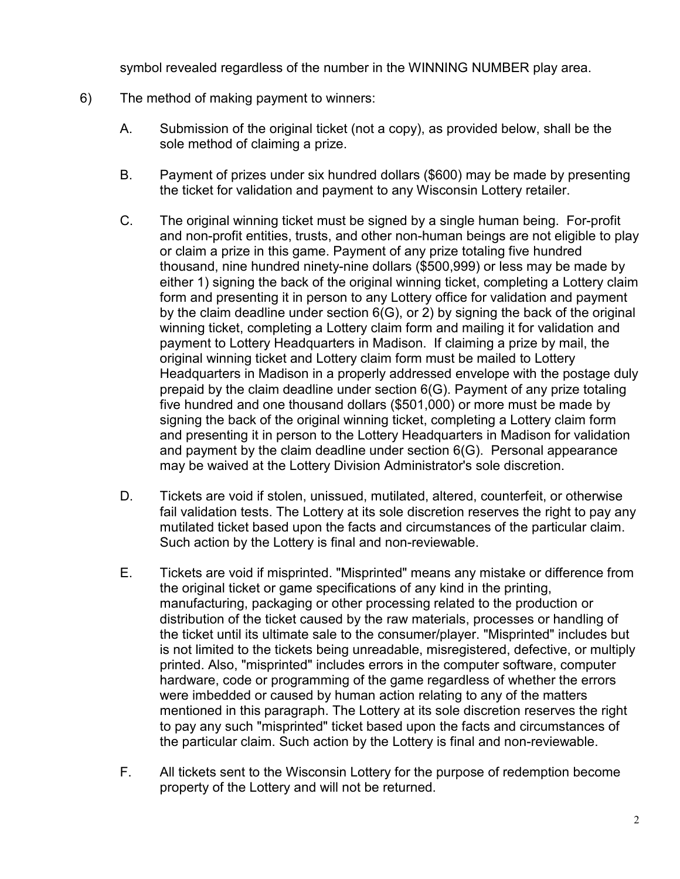symbol revealed regardless of the number in the WINNING NUMBER play area.

- 6) The method of making payment to winners:
	- A. Submission of the original ticket (not a copy), as provided below, shall be the sole method of claiming a prize.
	- B. Payment of prizes under six hundred dollars (\$600) may be made by presenting the ticket for validation and payment to any Wisconsin Lottery retailer.
	- C. The original winning ticket must be signed by a single human being. For-profit and non-profit entities, trusts, and other non-human beings are not eligible to play or claim a prize in this game. Payment of any prize totaling five hundred thousand, nine hundred ninety-nine dollars (\$500,999) or less may be made by either 1) signing the back of the original winning ticket, completing a Lottery claim form and presenting it in person to any Lottery office for validation and payment by the claim deadline under section 6(G), or 2) by signing the back of the original winning ticket, completing a Lottery claim form and mailing it for validation and payment to Lottery Headquarters in Madison. If claiming a prize by mail, the original winning ticket and Lottery claim form must be mailed to Lottery Headquarters in Madison in a properly addressed envelope with the postage duly prepaid by the claim deadline under section 6(G). Payment of any prize totaling five hundred and one thousand dollars (\$501,000) or more must be made by signing the back of the original winning ticket, completing a Lottery claim form and presenting it in person to the Lottery Headquarters in Madison for validation and payment by the claim deadline under section 6(G). Personal appearance may be waived at the Lottery Division Administrator's sole discretion.
	- D. Tickets are void if stolen, unissued, mutilated, altered, counterfeit, or otherwise fail validation tests. The Lottery at its sole discretion reserves the right to pay any mutilated ticket based upon the facts and circumstances of the particular claim. Such action by the Lottery is final and non-reviewable.
	- E. Tickets are void if misprinted. "Misprinted" means any mistake or difference from the original ticket or game specifications of any kind in the printing, manufacturing, packaging or other processing related to the production or distribution of the ticket caused by the raw materials, processes or handling of the ticket until its ultimate sale to the consumer/player. "Misprinted" includes but is not limited to the tickets being unreadable, misregistered, defective, or multiply printed. Also, "misprinted" includes errors in the computer software, computer hardware, code or programming of the game regardless of whether the errors were imbedded or caused by human action relating to any of the matters mentioned in this paragraph. The Lottery at its sole discretion reserves the right to pay any such "misprinted" ticket based upon the facts and circumstances of the particular claim. Such action by the Lottery is final and non-reviewable.
	- F. All tickets sent to the Wisconsin Lottery for the purpose of redemption become property of the Lottery and will not be returned.